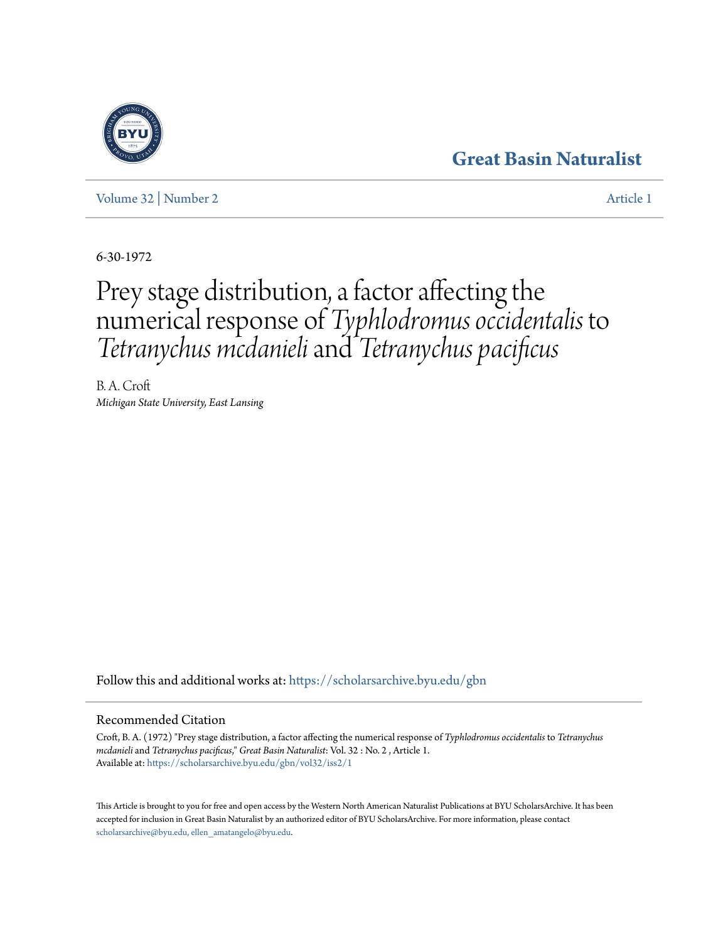## **[Great Basin Naturalist](https://scholarsarchive.byu.edu/gbn?utm_source=scholarsarchive.byu.edu%2Fgbn%2Fvol32%2Fiss2%2F1&utm_medium=PDF&utm_campaign=PDFCoverPages)**

[Volume 32](https://scholarsarchive.byu.edu/gbn/vol32?utm_source=scholarsarchive.byu.edu%2Fgbn%2Fvol32%2Fiss2%2F1&utm_medium=PDF&utm_campaign=PDFCoverPages) | [Number 2](https://scholarsarchive.byu.edu/gbn/vol32/iss2?utm_source=scholarsarchive.byu.edu%2Fgbn%2Fvol32%2Fiss2%2F1&utm_medium=PDF&utm_campaign=PDFCoverPages) [Article 1](https://scholarsarchive.byu.edu/gbn/vol32/iss2/1?utm_source=scholarsarchive.byu.edu%2Fgbn%2Fvol32%2Fiss2%2F1&utm_medium=PDF&utm_campaign=PDFCoverPages)

6-30-1972

# Prey stage distribution, a factor affecting the numerical response of *Typhlodromus occidentalis* to *Tetranychus mcdanieli*and *Tetranychus pacificus*

B. A. Croft *Michigan State University, East Lansing*

Follow this and additional works at: [https://scholarsarchive.byu.edu/gbn](https://scholarsarchive.byu.edu/gbn?utm_source=scholarsarchive.byu.edu%2Fgbn%2Fvol32%2Fiss2%2F1&utm_medium=PDF&utm_campaign=PDFCoverPages)

### Recommended Citation

Croft, B. A. (1972) "Prey stage distribution, a factor affecting the numerical response of *Typhlodromus occidentalis* to *Tetranychus mcdanieli* and *Tetranychus pacificus*," *Great Basin Naturalist*: Vol. 32 : No. 2 , Article 1. Available at: [https://scholarsarchive.byu.edu/gbn/vol32/iss2/1](https://scholarsarchive.byu.edu/gbn/vol32/iss2/1?utm_source=scholarsarchive.byu.edu%2Fgbn%2Fvol32%2Fiss2%2F1&utm_medium=PDF&utm_campaign=PDFCoverPages)

This Article is brought to you for free and open access by the Western North American Naturalist Publications at BYU ScholarsArchive. It has been accepted for inclusion in Great Basin Naturalist by an authorized editor of BYU ScholarsArchive. For more information, please contact [scholarsarchive@byu.edu, ellen\\_amatangelo@byu.edu.](mailto:scholarsarchive@byu.edu,%20ellen_amatangelo@byu.edu)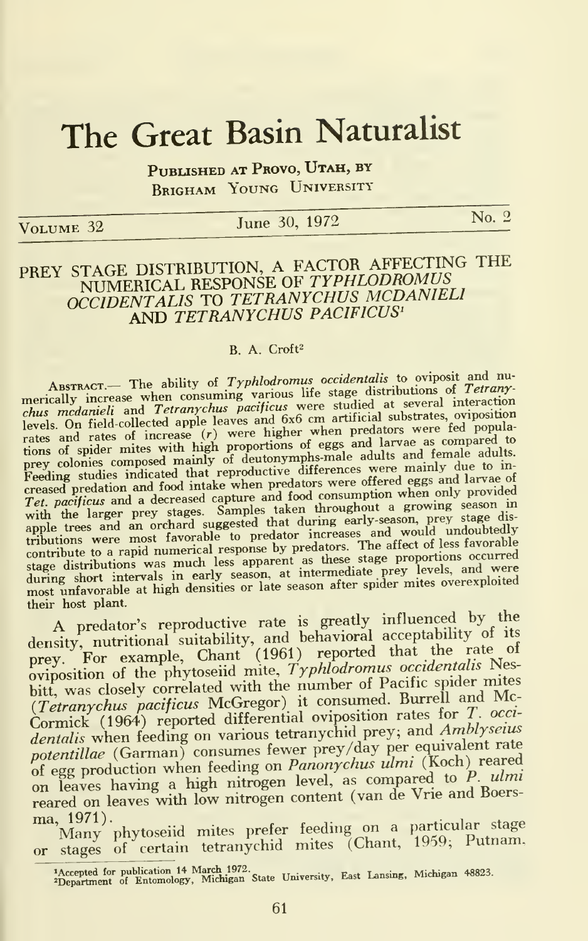# The Great Basin Naturalist

PUBLISHED AT PROVO, UTAH, BY BRIGHAM YOUNG UNIVERSITY

## VOLUME 32 June 30, 1972 No. 2

#### PREY STAGE DISTRIBUTION, A FACTOR AFFECTING THE NUMERICAL RESPONSE OF TYPHLODROMUS OCCIDENTALIS TO TETRANYCHUS MCDANIELI AND TETRANYCHUS PACIFICUS<sup>1</sup>

#### B. A. Croft<sup>2</sup>

Abstract — The ability of Typhlodromus occidentalis to oviposit and numerically increase when consuming various life stage distributions of Tetrany-<br>chus medanieli and Tetrany-chus pacificus were studied at several interac chus medanieli and Tetranychus pacificias were suqued at several control levels. On field-collected apple leaves and 6x6 cm artificial substrates, oviposition Chas incommend collected apple leaves and 6x6 cm artificial substitutes, oviposition<br>rates and rates of increase (r) were higher when predators were fed popula-<br>rates and rates of increase (r) were higher when predators we Feeding studies indicated that reproductive differences were infinity due to<br>creased predation and food intake when predators were offered eggs and larvae of creased predation and food intake when predators were untered as a measurement of provided  $Tet.$  pacificus and a decreased capture and food consumption when only provided with the larger prey stages. Samples taken througho apple uses and an oterard suggested uat udring early-season, prey sugge user<br>tributions were most favorable to predator increases and would undoubtedly<br>contribute to a rapid numerical response by predators. The affect of l

their host plant.<br>
A predator's reproductive rate is greatly influenced by the<br>
density, nurticional suitability, and behavioral acceptability of its<br>
pergy. For example, Chant (1961) reported that the rate of<br>
prey. For e bitt, was closely correlated with the number of Pacific spider nutes (Tetranychus pacificus McGregor) it consumed. Burrell and Mc-Cormick (1964) reported differential oviposition rates for  $T$ . occi- $\Delta$  dentalis when feeding on various tetranychid prey; and  $\Delta$ *mblyseius dentalis* when feeding on various certaily  $\frac{1}{2}$  or equivalent rate<br>potentillae (Garman) consumes fewer prey/day per equivalent rate of egg production when feeding on Panonychus ulmi (Koch) reared on leaves having a high nitrogen level, as compared to  $\hat{P}$ .  $ulmi$ reared on leaves with low nitrogen content (van de Vrie and Boers-<br>ma, 1971).

Many phytoseiid mites prefer feeding on a particular stage or stages of certain tetranychid mites (Chant, 1959; Putnam,

<sup>1</sup>Accepted for publication 14 March 1972.<br><sup>2</sup>Department of Entomology, Michigan State University, East Lansing, Michigan 48823.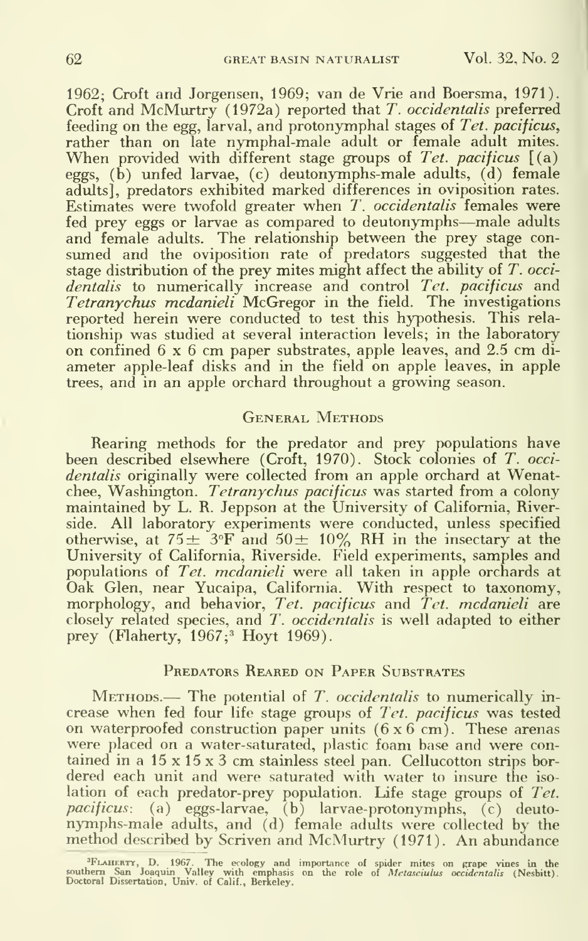1962; Croft and Jorgensen, 1969; van de Vrie and Boersma, 1971). Croft and McMurtry (1972a) reported that T. occidentalis preferred feeding on the egg, larval, and protonymphal stages of Tet. pacificus, rather than on late nymphal-male adult or female adult mites. When provided with different stage groups of Tet. pacificus  $[(a)]$ eggs, (b) unfed larvae, (c) deutonymphs-male adults, (d) female adults], predators exhibited marked differences in oviposition rates. Estimates were twofold greater when T. occidentalis females were fed prey eggs or larvae as compared to deutonymphs—male adults and female adults. The relationship between the prey stage con sumed and the oviposition rate of predators suggested that the stage distribution of the prey mites might affect the ability of T. occi dentalis to numerically increase and control Tet. pacificus and Tetranychus mcdanieli McGregor in the field. The investigations reported herein were conducted to test this hypothesis. This rela tionship was studied at several interaction levels; in the laboratory on confined 6x6 cm paper substrates, apple leaves, and 2.5 cm di ameter apple-leaf disks and in the field on apple leaves, in apple trees, and in an apple orchard throughout a growing season.

#### General Methods

Rearing methods for the predator and prey populations have been described elsewhere (Croft, 1970). Stock colonies of T. occi dentalis originally were collected from an apple orchard at Wenatchee, Washington. Tetranychus pacificus was started from a colony maintained by L. R. Jeppson at the University of California, Riverside. All laboratory experiments were conducted, unless specified otherwise, at  $75 \pm 3$ °F and  $50 \pm 10\%$  RH in the insectary at the University of California, Riverside. Field experiments, samples and populations of Tet. mcdanieli were all taken in apple orchards at Oak Glen, near Yucaipa, California. With respect to taxonomy, morphology, and behavior,  $Tet.$   $pacificus$  and  $Tet.$   $medianieli$  are  $\hfill$ closely related species, and T. occidentalis is well adapted to either prey (Flaherty, 1967;<sup>3</sup> Hoyt 1969).

#### PREDATORS REARED ON PAPER SUBSTRATES

METHODS.— The potential of  $T$ . occidentalis to numerically increase when fed four life stage groups of Tet. pacificus was tested on waterproofed construction paper units  $(6 \times 6 \text{ cm})$ . These arenas were placed on a water-saturated, plastic foam base and were con tained in <sup>a</sup> 15x15x3 cm stainless steel pan. Cellucotton strips bor dered each unit and were saturated with water to insure the iso lation of each predator-prey population. Life stage groups of Tet. pacificus: (a) eggs-larvae, (b) larvae-protonymphs, (c) deuto-<br>nymphs-male adults, and (d) female adults were collected by the<br>method described by Scriven and McMurtry (1971). An abundance

 ${}^{3}\text{F1.AHERT}$ , D. 1967. The ecology and importance of spider mites on grape vines in the southern San Joaquin Valley with emphasis on the role of *Metasciulus occidentalis* (Nesbitt). Doctoral Dissertation, Univ. of Cali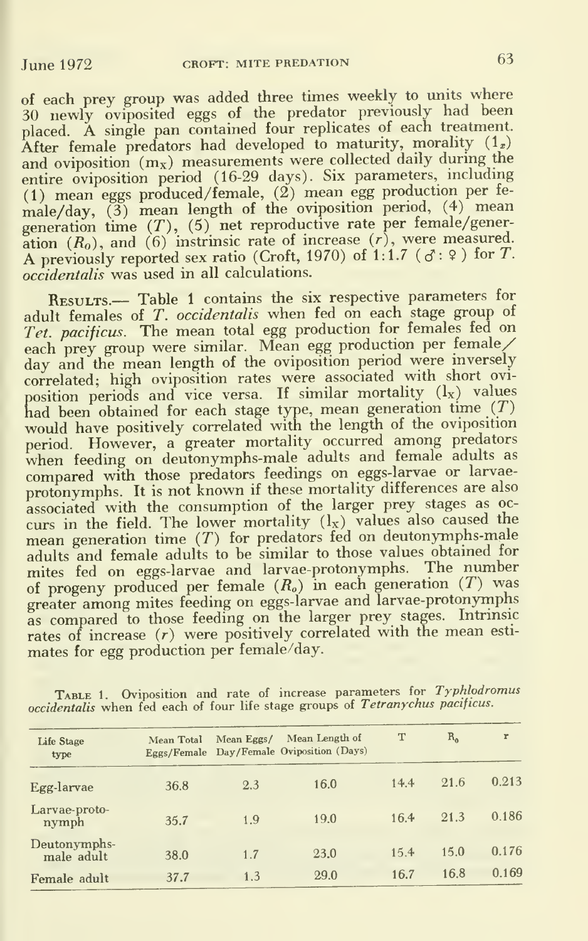of each prey group was added three times weekly to units where <sup>30</sup> newly oviposited eggs of the predator previously had been placed. A single pan contained four replicates of each treatment. After female predators had developed to maturity, morality  $(1_x)$ and oviposition  $(m_x)$  measurements were collected daily during the entire oviposition period (16-29 days). Six parameters, including  $(1)$  mean eggs produced/female,  $(2)$  mean egg production per fe-<br>male/day,  $(3)$  mean length of the oviposition period,  $(4)$  mean generation time  $(T)$ ,  $(5)$  net reproductive rate per female/generation  $(R_0)$ , and  $(6)$  instrinsic rate of increase  $(r)$ , were measured. A previously reported sex ratio (Croft, 1970) of 1:1.7 ( $\sigma$ : ?) for T. occidentalis was used in all calculations.

Results.— Table <sup>1</sup> contains the six respective parameters for adult females of T. occidentalis when fed on each stage group of Tet. pacificus. The mean total egg production for females fed on each prey group were similar. Mean egg production per female/ day and the mean length of the oviposition period were inversely correlated; high oviposition rates were associated with short ovi position periods and vice versa. If similar mortality  $(I_x)$  values had been obtained for each stage type, mean generation time  $(T)$ would have positively correlated with the length of the oviposition period. However, <sup>a</sup> greater mortality occurred among predators when feeding on deutonymphs-male adults and female adults as compared with those predators feedings on eggs-larvae or larvae protonymphs. It is not known if these mortality differences are also associated with the consumption of the larger prey stages as oc-<br>curs in the field. The lower mortality  $(l_x)$  values also caused the<br>mean generation time  $(T)$  for predators fed on deutonymphs-male adults and female adults to be similar to those values obtained for mites fed on eggs-larvae and larvae-protonymphs. The number of progeny produced per female  $(R_0)$  in each generation  $(T)$  was greater among mites feeding on eggs-larvae and larvae-protonymphs as compared to those feeding on the larger prey stages. Intrinsic rates of increase {r) were positively correlated with the mean esti mates for egg production per female/day.

| Life Stage<br>type         | Mean Total | Mean Eggs/ | Mean Length of<br>Eggs/Female Day/Female Oviposition (Days) | T    | $R_{0}$ | $\mathbf{r}$ |
|----------------------------|------------|------------|-------------------------------------------------------------|------|---------|--------------|
| Egg-larvae                 | 36.8       | 2.3        | 16.0                                                        | 14.4 | 21.6    | 0.213        |
| Larvae-proto-<br>nymph     | 35.7       | 1.9        | 19.0                                                        | 16.4 | 21.3    | 0.186        |
| Deutonymphs-<br>male adult | 38.0       | 1.7        | 23.0                                                        | 15.4 | 15.0    | 0.176        |
| Female adult               | 37.7       | 1.3        | 29.0                                                        | 16.7 | 16.8    | 0.169        |

TABLE 1. Oviposition and rate of increase parameters for Typhlodromus occidentalis when fed each of four life stage groups of Tetranychus pacificus.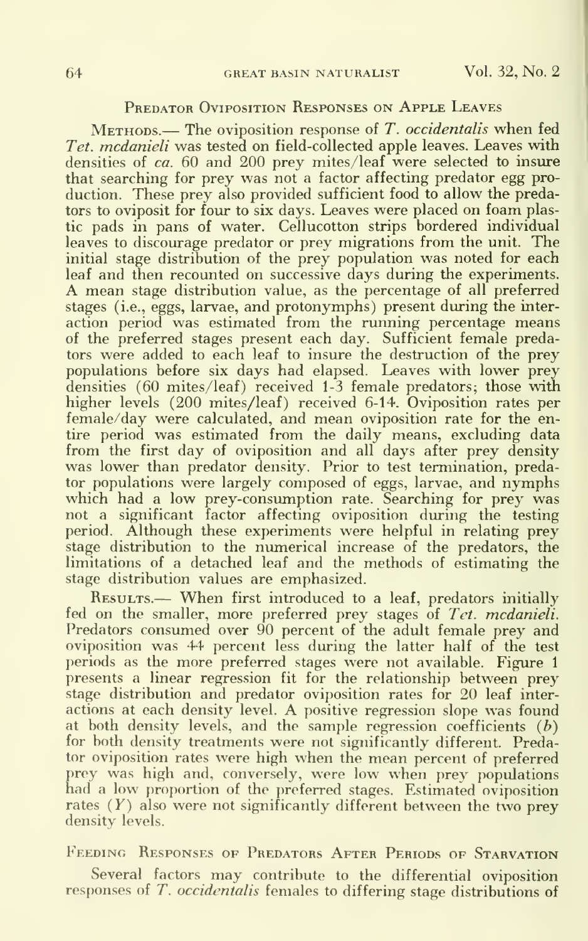#### PREDATOR OVIPOSITION RESPONSES ON APPLE LEAVES

 $M_{\text{ETHODS}}$ . The oviposition response of T. occidentalis when fed Tet. mcdanieli was tested on field-collected apple leaves. Leaves with densities of ca. 60 and 200 prey mites/leaf were selected to insure that searching for prey was not a factor affecting predator egg production. These prey also provided sufficient food to allow the predators to oviposit for four to six days. Leaves were placed on foam plastic pads in pans of water. Cellucotton strips bordered individual leaves to discourage predator or prey migrations from the unit. The initial stage distribution of the prey population was noted for each leaf and then recounted on successive days during the experiments. A mean stage distribution value, as the percentage of all preferred stages (i.e., eggs, larvae, and protonymphs) present during the interaction period was estimated from the running percentage means of the preferred stages present each day. Sufficient female predators were added to each leaf to insure the destruction of the prey populations before six days had elapsed. Leaves with lower prey densities (60 mites/leaf) received 1-3 female predators; those with higher levels (200 mites/leaf) received 6-14. Oviposition rates per female/day were calculated, and mean oviposition rate for the entire period was estimated from the daily means, excluding data from the first day of oviposition and all days after prey density was lower than predator density. Prior to test termination, predator populations were largely composed of eggs, larvae, and nymphs which had a low prey-consumption rate. Searching for prey was not a significant factor affecting oviposition during the testing period. Although these experiments were helpful in relating prey stage distribution to the numerical increase of the predators, the limitations of a detached leaf and the methods of estimating the stage distribution values are emphasized.

RESULTS.— When first introduced to a leaf, predators initially fed on the smaller, more preferred prey stages of Tet. mcdanieli. Predators consumed over 90 percent of the adult female prey and oviposition was 44 percent less during the latter half of the test periods as the more preferred stages were not available. Figure <sup>1</sup> presents a linear regression fit for the relationship between prey stage distribution and predator oviposition rates for 20 leaf inter actions at each density level. A positive regression slope was found at both density levels, and the sample regression coefficients  $(b)$ for both density treatments were not significantly different. Predator oviposition rates were high when the mean percent of preferred prey was high and, conversely, were low when prey populations had a low proportion of the preferred stages. Estimated oviposition rates  $(Y)$  also were not significantly different between the two prey density levels.

Feeding Responses of Predators After Periods of Starvation

Several factors may contribute to the differential oviposition responses of T. occidentalis females to differing stage distributions of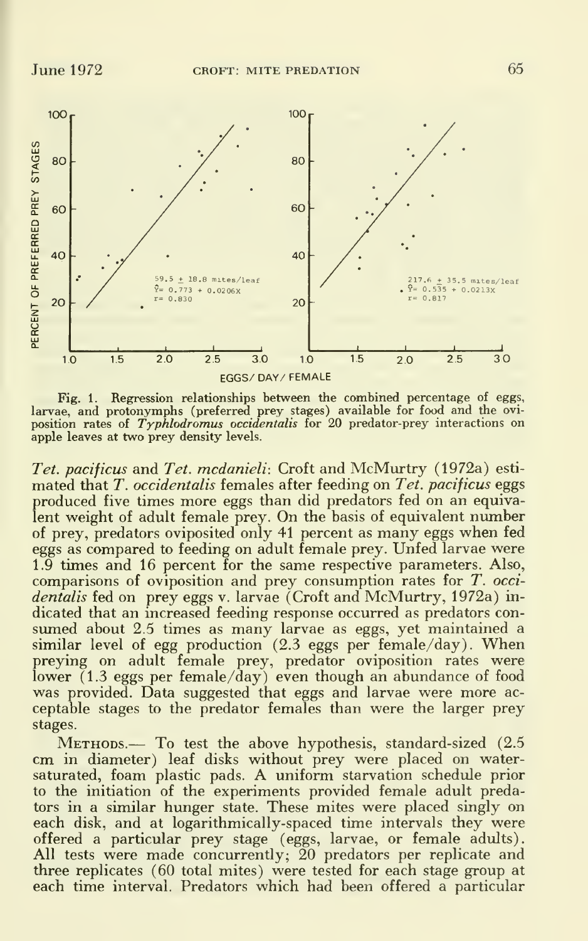

Fig. 1. Regression relationships between the combined percentage of eggs, larvae, and protonymphs (preferred prey stages) available for food and the ovi position rates of Typhlodromus occidentalis for 20 predator-prey interactions on apple leaves at two prey density levels.

Tet. pacificus and Tet. mcdanieli: Croft and McMurtry (1972a) estimated that T. occidentalis females after feeding on  $Tet$ , pacificus eggs produced five times more eggs than did predators fed on an equivalent weight of adult female prey. On the basis of equivalent number of prey, predators oviposited only <sup>41</sup> percent as many eggs when fed eggs as compared to feeding on adult female prey. Unfed larvae were 1.9 times and 16 percent for the same respective parameters. Also, comparisons of oviposition and prey consumption rates for T. occi dentalis fed on prey eggs v. larvae (Croft and McMurtry, 1972a) indicated that an increased feeding response occurred as predators con sumed about 2.5 times as many larvae as eggs, yet maintained a similar level of egg production (2.3 eggs per female/day). When preying on adult female prey, predator oviposition rates were lower (1.3 eggs per female/day) even though an abundance of food was provided. Data suggested that eggs and larvae were more ac ceptable stages to the predator females than were the larger prey stages.

Methods.— To test the above hypothesis, standard-sized (2.5 cm in diameter) leaf disks without prey were placed on watersaturated, foam plastic pads. A uniform starvation schedule prior to the initiation of the experiments provided female adult predators in a similar hunger state. These mites were placed singly on each disk, and at logarithmically-spaced time intervals they were offered a particular prey stage (eggs, larvae, or female adults). All tests were made concurrently; 20 predators per replicate and three replicates (60 total mites) were tested for each stage group at each time interval. Predators which had been offered a particular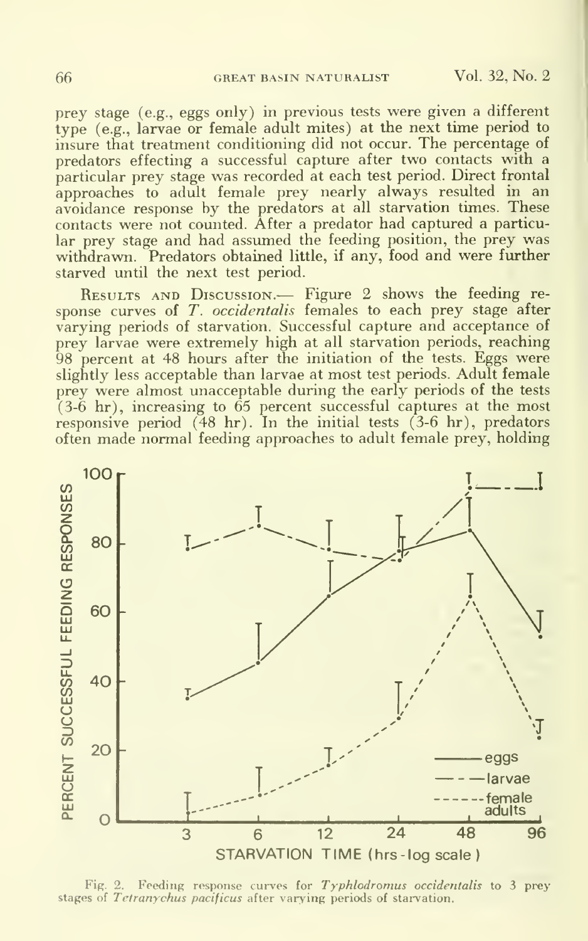prey stage (e.g., eggs only) in previous tests were given a different type (e.g., larvae or female adult mites) at the next time period to insure that treatment conditioning did not occur. The percentage of predators effecting a successful capture after two contacts with a particular prey stage was recorded at each test period. Direct frontal approaches to adult female prey nearly always resulted in an avoidance response by the predators at all starvation times. These contacts were not counted. After a predator had captured a particular prey stage and had assumed the feeding position, the prey was withdrawn. Predators obtained little, if any, food and were further starved until the next test period.

Results and Discussion.— Figure <sup>2</sup> shows the feeding re sponse curves of T. occidentalis females to each prey stage after varying periods of starvation. Successful capture and acceptance of prey larvae were extremely high at all starvation periods, reaching 98 percent at 48 hours after the initiation of the tests. Eggs were slightly less acceptable than larvae at most test periods. Adult female prey were almost unacceptable during the early periods of the tests (3-6 hr), increasing to 65 percent successful captures at the most responsive period  $(48 \text{ hr})$ . In the initial tests  $(3-6 \text{ hr})$ , predators often made normal feeding approaches to adult female prey, holding



Fig. 2. Feeding response curves for Typhlodromus occidentalis to 3 prey stages of Tetranychus pacificus after varying periods of starvation.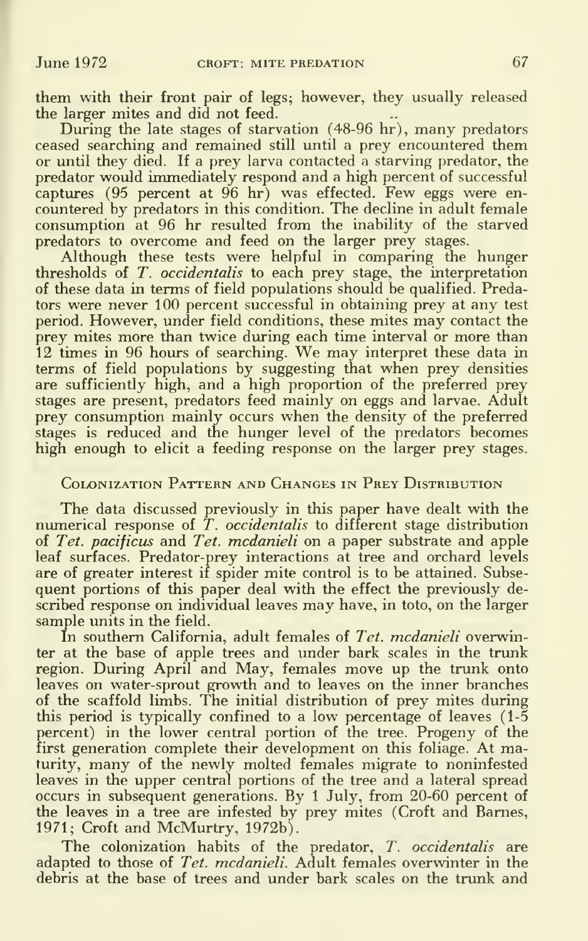them with their front pair of legs; however, they usually released the larger mites and did not feed.

During the late stages of starvation (48-96 hr), many predators ceased searching and remained still until a prey encountered them or until they died. If a prey larva contacted a starving predator, the predator would immediately respond and a high percent of successful captures (95 percent at 96 hr) was effected. Few eggs were en countered by predators in this condition. The decline in adult female consumption at 96 hr resulted from the inability of the starved predators to overcome and feed on the larger prey stages.

Although these tests were helpful in comparing the hunger thresholds of T. occidentalis to each prey stage, the interpretation of these data in terms of field populations should be qualified. Predators were never 100 percent successful in obtaining prey at any test period. However, under field conditions, these mites may contact the prey mites more than twice during each time interval or more than <sup>12</sup> times in <sup>96</sup> hours of searching. We may interpret these data in terms of field populations by suggesting that when prey densities are sufficiently high, and a high proportion of the preferred prey stages are present, predators feed mainly on eggs and larvae. Adult prey consumption mainly occurs when the density of the preferred stages is reduced and the hunger level of the predators becomes high enough to elicit a feeding response on the larger prey stages.

#### Colonization Pattern and Changes in Prey Distribution

The data discussed previously in this paper have dealt with the numerical response of  $T$ . occidentalis to different stage distribution of Tet. pacificus and Tet. mcdanieli on a paper substrate and apple leaf surfaces. Predator-prey interactions at tree and orchard levels are of greater interest if spider mite control is to be attained. Subse quent portions of this paper deal with the effect the previously described response on individual leaves may have, in toto, on the larger sample units in the field.

In southern California, adult females of Tet. mcdanieli overwinter at the base of apple trees and under bark scales in the trunk region. During April and May, females move up the trunk onto leaves on water-sprout growth and to leaves on the inner branches of the scaffold limbs. The initial distribution of prey mites during this period is typically confined to a low percentage of leaves (1-5 percent) in the lower central portion of the tree. Progeny of the first generation complete their development on this foliage. At maturity, many of the newly molted females migrate to noninfested leaves in the upper central portions of the tree and a lateral spread occurs in subsequent generations. By <sup>1</sup> July, from 20-60 percent of the leaves in a tree are infested by prey mites (Croft and Barnes, 1971; Croft and McMurtry,  $1972b$ ).

The colonization habits of the predator, T. occidentalis are adapted to those of Tet. mcdanieli. Adult females overwinter in the debris at the base of trees and under bark scales on the trunk and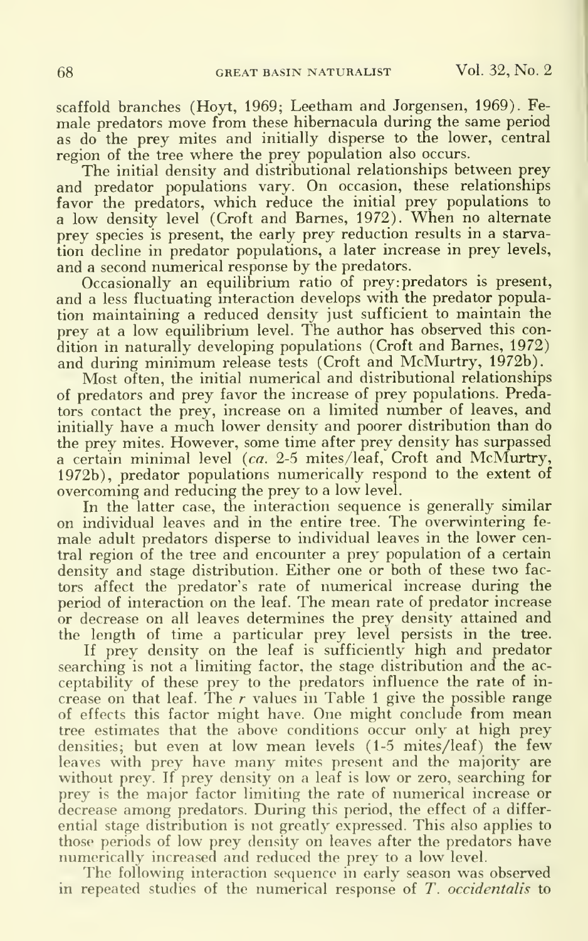scaffold branches (Hoyt, 1969; Leetham and Jorgensen, 1969). Fe male predators move from these hibemacula during the same period as do the prey mites and initially disperse to the lower, central region of the tree where the prey population also occurs.

The initial density and distributional relationships between prey and predator populations vary. On occasion, these relationships favor the predators, which reduce the initial prey populations to a low density level (Croft and Barnes, 1972). When no alternate prey species is present, the early prey reduction results in a starvation decline in predator populations, a later increase in prey levels, and a second numerical response by the predators.

Occasionally an equilibrium ratio of prey: predators is present, and a less fluctuating interaction develops with the predator population maintaining a reduced density just sufficient to maintain the prey at <sup>a</sup> low equilibrium level. The author has observed this condition in naturally developing populations (Croft and Barnes, 1972) and during minimum release tests (Croft and McMurtry, 1972b).

Most often, the initial numerical and distributional relationships of predators and prey favor the increase of prey populations. Predators contact the prey, increase on <sup>a</sup> limited number of leaves, and initially have <sup>a</sup> much lower density and poorer distribution than do the prey mites. However, some time after prey density has surpassed a certain minimal level (ca. 2-5 mites/leaf, Croft and McMurtry, 1972b), predator populations numerically respond to the extent of overcoming and reducing the prey to a low level.

In the latter case, the interaction sequence is generally similar on individual leaves and in the entire tree. The overwintering fe male adult predators disperse to individual leaves in the lower central region of the tree and encounter a prey population of a certain density and stage distribution. Either one or both of these two factors affect the predator's rate of numerical increase during the period of interaction on the leaf. The mean rate of predator increase or decrease on all leaves determines the prey density attained and the length of time a particular prey level persists in the tree.

If prey density on the leaf is sufficiently high and predator searching is not a limiting factor, the stage distribution and the ac ceptability of these prey to the predators influence the rate of in- crease on that leaf. The <sup>r</sup> values in Table <sup>1</sup> give the possible range of effects this factor might have. One might conclude from mean tree estimates that the above conditions occur only at high prey densities; but even at low mean levels (1-5 mites/leaf) the few leaves with prey have many mites present and the majority are without prey. If prey density on a leaf is low or zero, searching for prey is the major factor limiting the rate of numerical increase or decrease among predators. During this period, the effect of <sup>a</sup> differ ential stage distribution is not greatly expressed. This also applies to those periods of low prey density on leaves after the predators have numerically increased and reduced the prey to a low level.

The following interaction sequence in early season was observed in repeated studies of the numerical response of T. occidentalis to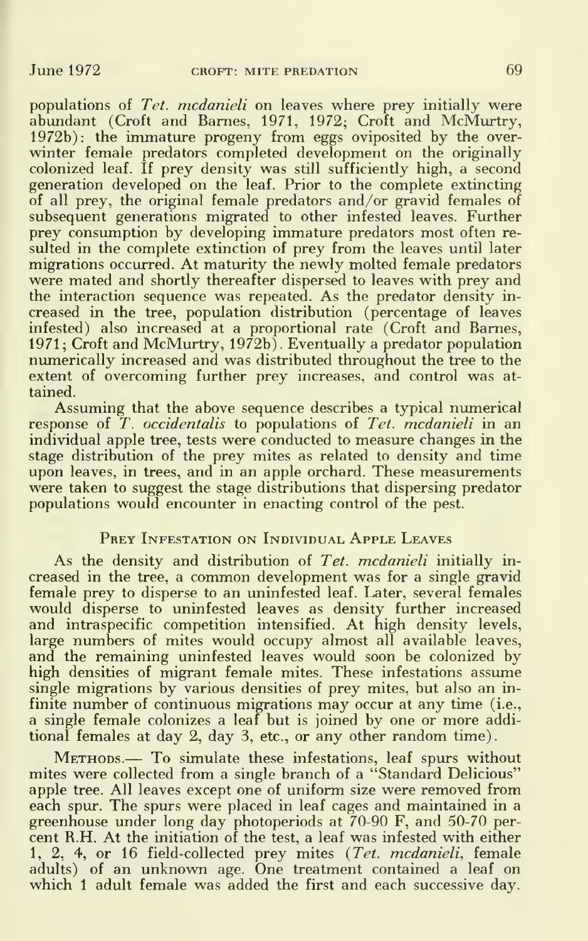populations of Tet. mcdanieli on leaves where prey initially were abundant (Croft and Barnes, 1971, 1972; Croft and McMurtry, 1972b): the immature progeny from eggs oviposited by the over winter female predators completed development on the originally colonized leaf. If prey density was still sufficiently high, a second generation developed on the leaf. Prior to the complete extincting of all prey, the original female predators and/or gravid females of subsequent generations migrated to other infested leaves. Further prey consumption by developing immature predators most often re sulted in the complete extinction of prey from the leaves until later migrations occurred. At maturity the newly molted female predators were mated and shortly thereafter dispersed to leaves with prey and the interaction sequence was repeated. As the predator density in creased in the tree, population distribution (percentage of leaves infested) also increased at a proportional rate (Croft and Barnes, 1971; Croft and McMurtry, 1972b) . Eventually a predator population numerically increased and was distributed throughout the tree to the extent of overcoming further prey increases, and control was at tained.

Assuming that the above sequence describes a typical numerical response of  $T$ . *occidentalis* to populations of  $Tet$ . *mcdanieli* in an individual apple tree, tests were conducted to measure changes in the stage distribution of the prey mites as related to density and time<br>upon leaves, in trees, and in an apple orchard. These measurements were taken to suggest the stage distributions that dispersing predator populations would encounter in enacting control of the pest.

#### PREY INFESTATION ON INDIVIDUAL APPLE LEAVES

As the density and distribution of Tet. mcdanieli initially in creased in the tree, <sup>a</sup> common development was for <sup>a</sup> single gravid female prey to disperse to an uninfested leaf. Later, several females would disperse to uninfested leaves as density further increased and intraspecific competition intensified. At high density levels, large numbers of mites would occupy almost all available leaves, and the remaining uninfested leaves would soon be colonized by high densities of migrant female mites. These infestations assume single migrations by various densities of prey mites, but also an infinite number of continuous migrations may occur at any time (i.e., a single female colonizes a leaf but is joined by one or more additional females at day 2, day 3, etc., or any other random time).

METHODS.— To simulate these infestations, leaf spurs without mites were collected from a single branch of a "Standard Delicious" apple tree. All leaves except one of uniform size were removed from each spur. The spurs were placed in leaf cages and maintained in a greenhouse under long day photoperiods at 70-90 F, and 50-70 per- cent R.H. At the initiation of the test, a leaf was infested with either 1, 2, 4, or 16 field-collected prey mites (*Tet. mcdanieli*, female<br>adults) of an unknown age. One treatment contained a leaf on which 1 adult female was added the first and each successive day.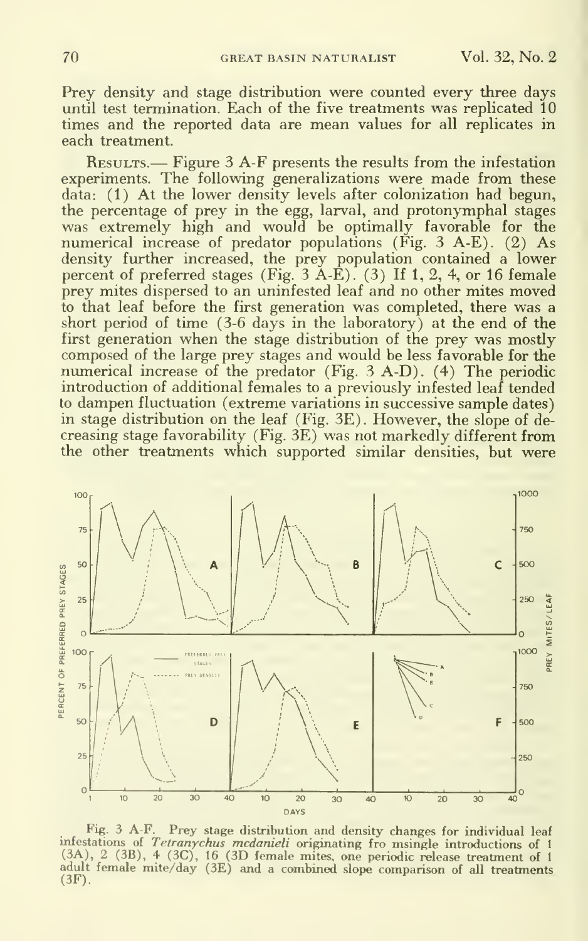Prey density and stage distribution were counted every three days until test termination. Each of the five treatments was replicated 10 times and the reported data are mean values for all replicates in each treatment.

Results.— Figure <sup>3</sup> A-F presents the results from the infestation experiments. The following generalizations were made from these data: (1) At the lower density levels after colonization had begun, the percentage of prey in the egg, larval, and protonymphal stages was extremely high and would be optimally favorable for the numerical increase of predator populations (Fig. 3 A-E). (2) As density further increased, the prey population contained a lower percent of preferred stages (Fig. 3 A-E). (3) If 1, 2, 4, or 16 female prey mites dispersed to an uninfested leaf and no other mites moved to that leaf before the first generation was completed, there was a short period of time (3-6 days in the laboratory) at the end of the first generation when the stage distribution of the prey was mostly composed of the large prey stages and would be less favorable for the numerical increase of the predator (Fig. 3 A-D). (4) The periodic introduction of additional females to a previously infested leaf tended to dampen fluctuation (extreme variations in successive sample dates) in stage distribution on the leaf (Fig. 3E). However, the slope of de creasing stage favorability (Fig. 3E) was not markedly different from the other treatments which supported similar densities, but were



Fig. 3 A-F. Prey stage distribution and density changes for individual leaf infestations of Tetranychus medanieli originating fro msingle introductions of 1  $(3A)$ , 2  $(3B)$ , 4  $(3C)$ , 16  $(3D)$  female mites, one periodic release treatment of 1 adult female mite/day (3E) and a combined slope comparison of all treatments  $(3F)$ .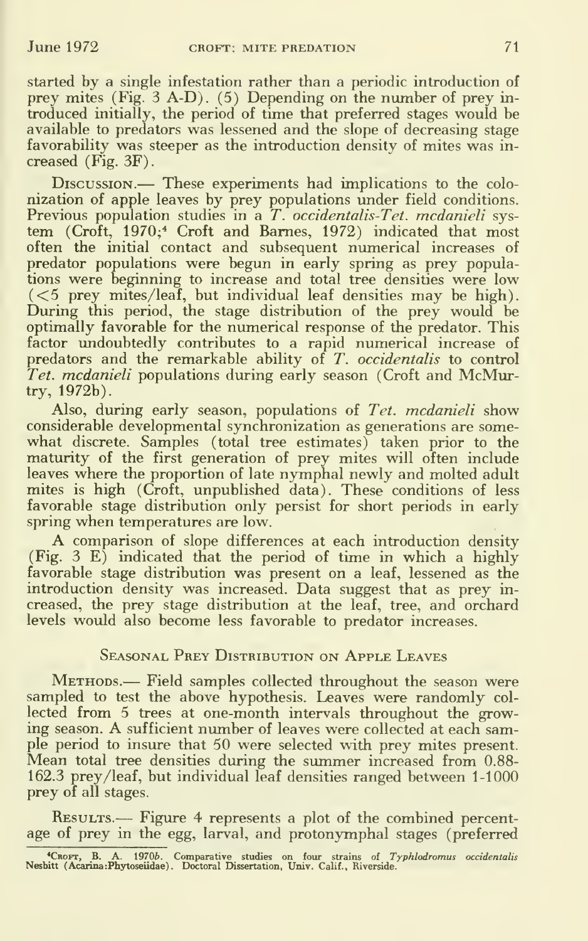started by a single infestation rather than a periodic introduction of prey mites (Fig. 3 A-D). (5) Depending on the number of prey in troduced initially, the period of time that preferred stages would be available to predators was lessened and the slope of decreasing stage favorability was steeper as the introduction density of mites was in creased (Fig. 3F).

Discussion.— These experiments had implications to the colo nization of apple leaves by prey populations under field conditions.<br>Previous population studies in a *T. occidentalis-Tet. mcdanieli s*ystem (Croft, 1970;<sup>4</sup> Croft and Barnes, 1972) indicated that most often the initial contact and subsequent numerical increases of predator populations were begun in early spring as prey populations were beginning to increase and total tree densities were low (<5 prey mites/leaf, but individual leaf densities may be high). During this period, the stage distribution of the prey would be optimally favorable for the numerical response of the predator. This factor undoubtedly contributes to a rapid numerical increase of predators and the remarkable ability of T. occidentalis to control Tet. mcdanieli populations during early season (Croft and McMurtry, 1972b).

Also, during early season, populations of Tet. mcdanieli show considerable developmental synchronization as generations are some what discrete. Samples (total tree estimates) taken prior to the maturity of the first generation of prey mites will often include leaves where the proportion of late nymphal newly and molted adult mites is high (Croft, unpublished data). These conditions of less favorable stage distribution only persist for short periods in early spring when temperatures are low.

A comparison of slope differences at each introduction density (Fig. 3 E) indicated that the period of time in which a highly favorable stage distribution was present on a leaf, lessened as the introduction density was increased. Data suggest that as prey in creased, the prey stage distribution at the leaf, tree, and orchard levels would also become less favorable to predator increases.

#### Seasonal Prey Distribution on Apple Leaves

METHODS.— Field samples collected throughout the season were sampled to test the above hypothesis. Leaves were randomly col lected from 5 trees at one-month intervals throughout the growing season. A sufficient number of leaves were collected at each sample period to insure that 50 were selected with prey mites present. Mean total tree densities during the summer increased from 0.88-162.3 prey/leaf, but individual leaf densities ranged between 1-1000 prey of all stages.

Results.— Figure <sup>4</sup> represents <sup>a</sup> plot of the combined percent- age of prey in the egg, larval, and protonymphal stages (preferred

<sup>\*</sup>Croft, B. a. 1970fr. Comparative studies on foiir strains of Typhlodromus occidentalis Nesbitt (Acarina:Phytoseiidae). Doctoral Dissertation, Univ. Calif., Riverside.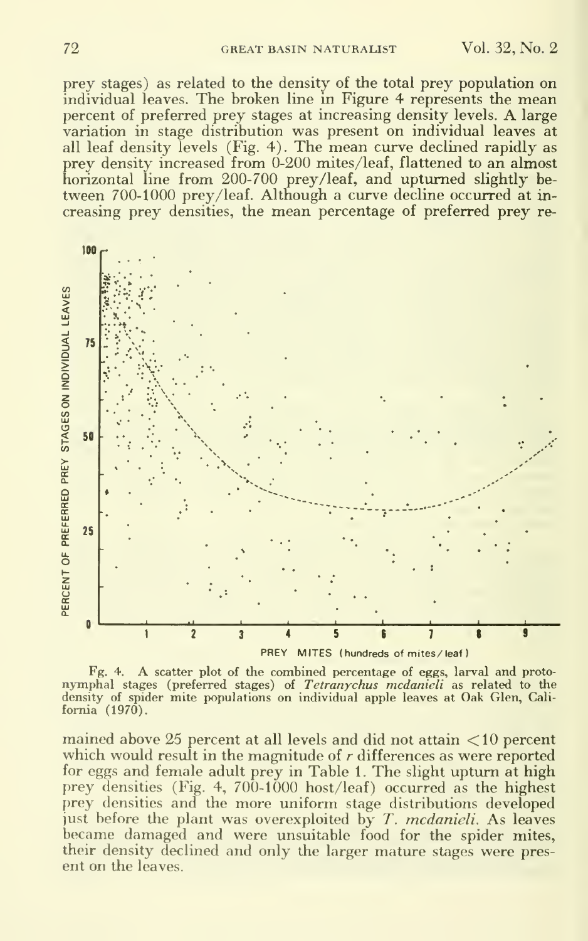prey stages) as related to the density of the total prey population on individual leaves. The broken line in Figure 4 represents the mean percent of preferred prey stages at increasing density levels. A large variation in stage distribution was present on individual leaves at all leaf density levels (Fig. 4). The mean curve declined rapidly as prey density increased from 0-200 mites/leaf, flattened to an almost horizontal line from 200-700 prey/leaf, and upturned slightly be tween 700-1000 prey/leaf. Although a curve decline occurred at in creasing prey densities, the mean percentage of preferred prey re-



PREY MITES (hundreds of mites/leaf)

Fg. 4. A scatter plot of the combined percentage of eggs, larval and protoreferred states provided by the contract percentage of eggs, tava and provident appear and provident density of spider mite populations on individual apple leaves at Oak Glen, California (1970).

mained above 25 percent at all levels and did not attain  $\langle 10 \rangle$  percent which would result in the magnitude of r differences as were reported for eggs and female adult prey in Table 1. The slight upturn at high<br>prey densities (Fig. 4, 700-1000 host/leaf) occurred as the highest prey densities and the more uniform stage distributions developed just before the plant was overexploited by *T*, *medanieli*. As leaves<br>became damaged and were unsuitable food for the spider mites, their density declined and only the larger mature stages were present on the leaves.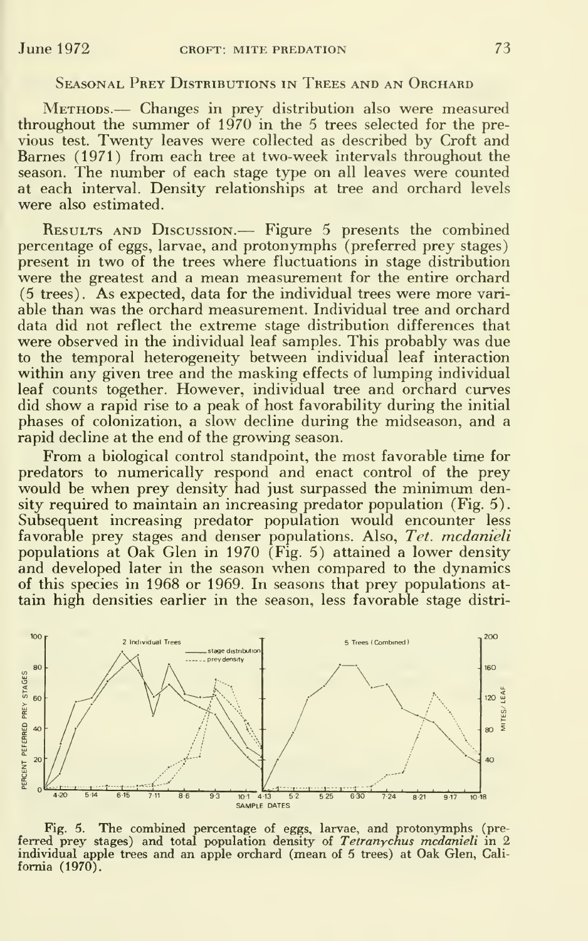#### SEASONAL PREY DISTRIBUTIONS IN TREES AND AN ORCHARD

Methods.— Changes in prey distribution also were measured throughout the summer of 1970 in the <sup>5</sup> trees selected for the pre vious test. Twenty leaves were collected as described by Croft and Barnes (1971) from each tree at two-week intervals throughout the season. The number of each stage type on all leaves were counted at each interval. Density relationships at tree and orchard levels were also estimated.

RESULTS AND DISCUSSION. Figure 5 presents the combined percentage of eggs, larvae, and protonymphs (preferred prey stages) present in two of the trees where fluctuations in stage distribution were the greatest and a mean measurement for the entire orchard (5 trees). As expected, data for the individual trees were more vari able than was the orchard measurement. Individual tree and orchard data did not reflect the extreme stage distribution differences that were observed in the individual leaf samples. This probably was due to the temporal heterogeneity between individual leaf interaction within any given tree and the masking effects of lumping individual leaf counts together. However, individual tree and orchard curves did show a rapid rise to a peak of host favorability during the initial phases of colonization, a slow decline during the midseason, and a rapid decline at the end of the growing season.

From <sup>a</sup> biological control standpoint, the most favorable time for predators to numerically respond and enact control of the prey would be when prey density had just surpassed the minimum density required to maintain an increasing predator population (Fig. 5). Subsequent increasing predator population would encounter less favorable prey stages and denser populations. Also, T*et. mcdanieli*<br>populations at Oak Glen in 1970 (Fig. 5) attained a lower density and developed later in the season when compared to the dynamics of this species in 1968 or 1969. In seasons that prey populations at-<br>tain high densities earlier in the season, less favorable stage distri-



Fig. 5. The combined percentage of eggs, larvae, and protonymphs (pre-<br>ferred prey stages) and total population density of  $Tetranychus medianieli$  in 2 individual apple trees and an apple orchard (mean of 5 trees) at Oak Glen, California  $(1970)$ .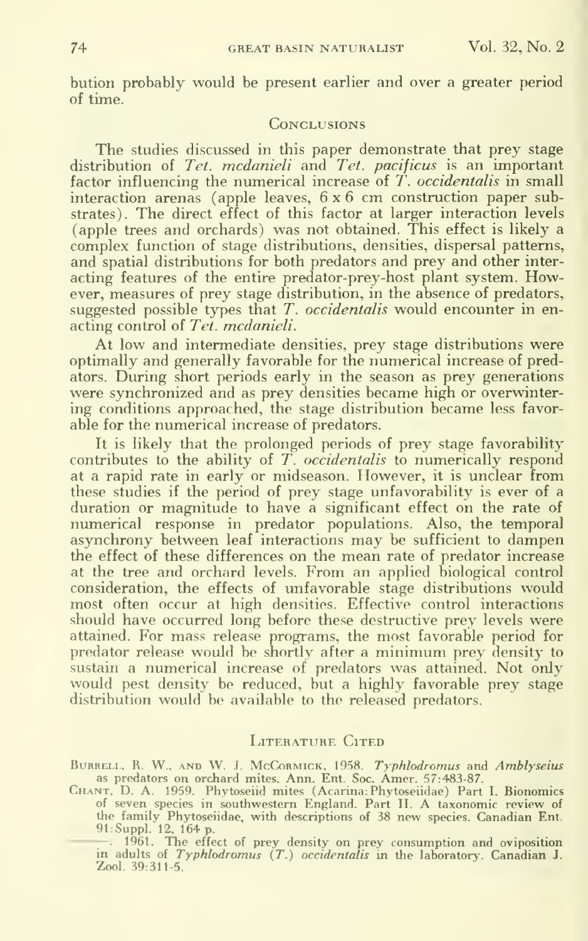bution probably would be present earlier and over a greater period of time.

#### **CONCLUSIONS**

The studies discussed in this paper demonstrate that prey stage distribution of Tet. mcdanieli and Tet. pacificus is an important factor influencing the numerical increase of  $\tilde{T}$ . *occidentalis* in small interaction arenas (apple leaves,  $6 \times 6$  cm construction paper substrates). The direct effect of this factor at larger interaction levels (apple trees and orchards) was not obtained. This effect is likely a complex function of stage distributions, densities, dispersal patterns, and spatial distributions for both predators and prey and other inter acting features of the entire predator-prey-host plant system. However, measures of prey stage distribution, in the absence of predators, suggested possible types that  $T$ . *occidentalis* would encounter in enacting control of Tet. mcdanieli.

At low and intermediate densities, prey stage distributions were optimally and generally favorable for the numerical increase of predators. During short periods early in the season as prey generations were synchronized and as prey densities became high or overwintering conditions approached, the stage distribution became less favor able for the numerical increase of predators.

It is likely that the prolonged periods of prey stage favorability contributes to the ability of  $\overline{T}$ . occidentalis to numerically respond at a rapid rate in early or midseason. However, it is unclear from these studies if the period of prey stage unfavorability is ever of a duration or magnitude to have a significant effect on the rate of numerical response in predator populations. Also, the temporal asynchrony between leaf interactions may be sufficient to dampen the effect of these differences on the mean rate of predator increase at the tree and orchard levels. From an applied biological control consideration, the effects of unfavorable stage distributions would most often occur at high densities. Effective control interactions should have occurred long before these destructive prey levels were attained. For mass release programs, the most favorable period for predator release would be shortly after <sup>a</sup> minimum prey density to sustain a numerical increase of predators was attained. Not only would pest density be reduced, but a highly favorable prey stage distribution would be available to the released predators.

#### LITERATURE CITED

BURRELL, R. W., AND W. J. McCORMICK, 1958. *Typhlodromus* and *Amblyseius* as predators on orchard mites. Ann. Ent. Soc. Amer. 57:483-87.<br>CHANT, D. A. 1959. Phytoseiid mites (Acarina: Phytoseiidae) Part I. Bionomics of sev

the family Phytoseiidae, with descriptions of 38 new species. Canadian Ent.

1961. The effect of prey density on prey consumption and oviposition in adults of Typhlodromus  $(T.)$  occidentalis in the laboratory. Canadian J. Zool. 39:311-5.